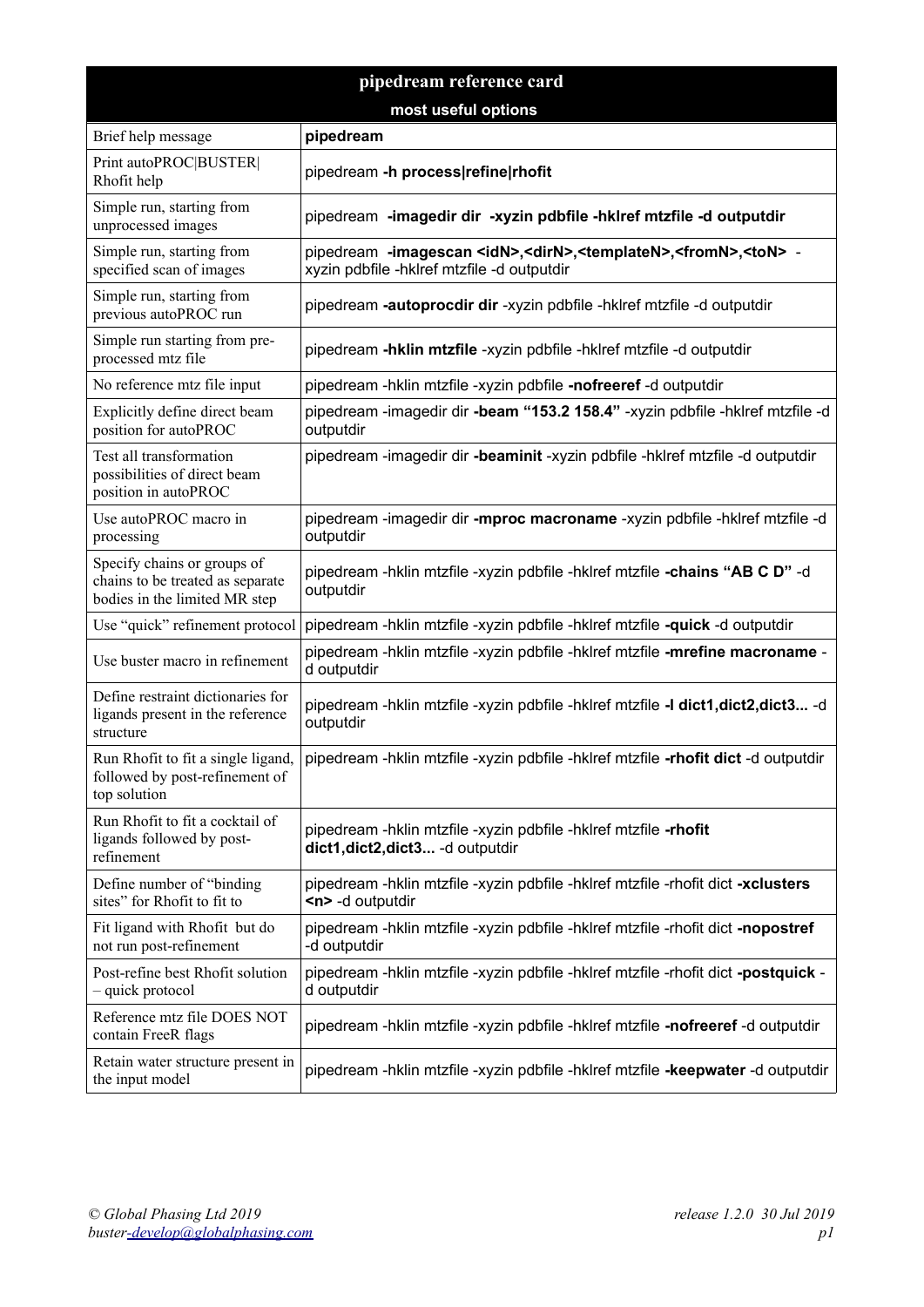| pipedream reference card                                                                         |                                                                                                                                                     |  |
|--------------------------------------------------------------------------------------------------|-----------------------------------------------------------------------------------------------------------------------------------------------------|--|
| most useful options                                                                              |                                                                                                                                                     |  |
| Brief help message                                                                               | pipedream                                                                                                                                           |  |
| Print autoPROC BUSTER <br>Rhofit help                                                            | pipedream -h process refine rhofit                                                                                                                  |  |
| Simple run, starting from<br>unprocessed images                                                  | pipedream -imagedir dir -xyzin pdbfile -hklref mtzfile -d outputdir                                                                                 |  |
| Simple run, starting from<br>specified scan of images                                            | pipedream -imagescan <idn>,<dirn>,<templaten>,<fromn>,<ton> -<br/>xyzin pdbfile -hklref mtzfile -d outputdir</ton></fromn></templaten></dirn></idn> |  |
| Simple run, starting from<br>previous autoPROC run                                               | pipedream -autoprocdir dir -xyzin pdbfile -hklref mtzfile -d outputdir                                                                              |  |
| Simple run starting from pre-<br>processed mtz file                                              | pipedream -hklin mtzfile -xyzin pdbfile -hklref mtzfile -d outputdir                                                                                |  |
| No reference mtz file input                                                                      | pipedream -hklin mtzfile -xyzin pdbfile -nofreeref -d outputdir                                                                                     |  |
| Explicitly define direct beam<br>position for autoPROC                                           | pipedream -imagedir dir -beam "153.2 158.4" -xyzin pdbfile -hklref mtzfile -d<br>outputdir                                                          |  |
| Test all transformation<br>possibilities of direct beam<br>position in autoPROC                  | pipedream -imagedir dir -beaminit -xyzin pdbfile -hklref mtzfile -d outputdir                                                                       |  |
| Use autoPROC macro in<br>processing                                                              | pipedream -imagedir dir -mproc macroname -xyzin pdbfile -hklref mtzfile -d<br>outputdir                                                             |  |
| Specify chains or groups of<br>chains to be treated as separate<br>bodies in the limited MR step | pipedream -hklin mtzfile -xyzin pdbfile -hklref mtzfile -chains "AB C D" -d<br>outputdir                                                            |  |
| Use "quick" refinement protocol                                                                  | pipedream -hklin mtzfile -xyzin pdbfile -hklref mtzfile -quick -d outputdir                                                                         |  |
| Use buster macro in refinement                                                                   | pipedream -hklin mtzfile -xyzin pdbfile -hklref mtzfile -mrefine macroname -<br>d outputdir                                                         |  |
| Define restraint dictionaries for<br>ligands present in the reference<br>structure               | pipedream -hklin mtzfile -xyzin pdbfile -hklref mtzfile -I dict1, dict2, dict3 -d<br>outputdir                                                      |  |
| Run Rhofit to fit a single ligand,<br>followed by post-refinement of<br>top solution             | pipedream -hklin mtzfile -xyzin pdbfile -hklref mtzfile -rhofit dict -d outputdir                                                                   |  |
| Run Rhofit to fit a cocktail of<br>ligands followed by post-<br>refinement                       | pipedream -hklin mtzfile -xyzin pdbfile -hklref mtzfile -rhofit<br>dict1, dict2, dict3 - d outputdir                                                |  |
| Define number of "binding"<br>sites" for Rhofit to fit to                                        | pipedream -hklin mtzfile -xyzin pdbfile -hklref mtzfile -rhofit dict -xclusters<br><n> -d outputdir</n>                                             |  |
| Fit ligand with Rhofit but do<br>not run post-refinement                                         | pipedream -hklin mtzfile -xyzin pdbfile -hklref mtzfile -rhofit dict -nopostref<br>-d outputdir                                                     |  |
| Post-refine best Rhofit solution<br>- quick protocol                                             | pipedream -hklin mtzfile -xyzin pdbfile -hklref mtzfile -rhofit dict -postquick -<br>d outputdir                                                    |  |
| Reference mtz file DOES NOT<br>contain FreeR flags                                               | pipedream -hklin mtzfile -xyzin pdbfile -hklref mtzfile -nofreeref -d outputdir                                                                     |  |
| Retain water structure present in<br>the input model                                             | pipedream -hklin mtzfile -xyzin pdbfile -hklref mtzfile -keepwater -d outputdir                                                                     |  |